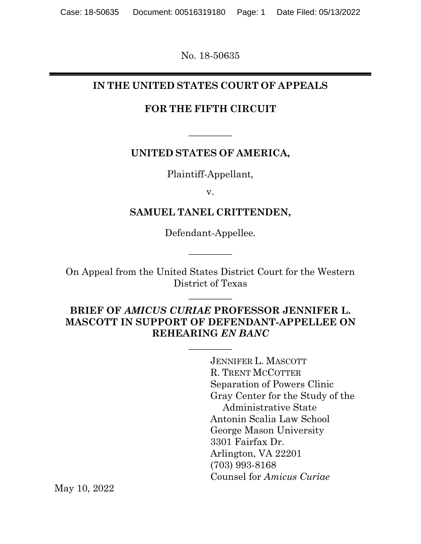No. 18-50635

### **IN THE UNITED STATES COURT OF APPEALS**

### **FOR THE FIFTH CIRCUIT**

 $\overline{\phantom{a}}$ 

### **UNITED STATES OF AMERICA,**

Plaintiff-Appellant*,*

v.

### **SAMUEL TANEL CRITTENDEN,**

Defendant-Appellee*.*

 $\overline{\phantom{a}}$ 

On Appeal from the United States District Court for the Western District of Texas

 $\overline{\phantom{a}}$ 

**BRIEF OF** *AMICUS CURIAE* **PROFESSOR JENNIFER L. MASCOTT IN SUPPORT OF DEFENDANT-APPELLEE ON REHEARING** *EN BANC*

 $\overline{\phantom{a}}$ 

JENNIFER L. MASCOTT R. TRENT MCCOTTER Separation of Powers Clinic Gray Center for the Study of the Administrative State Antonin Scalia Law School George Mason University 3301 Fairfax Dr. Arlington, VA 22201 (703) 993-8168 Counsel for *Amicus Curiae*

May 10, 2022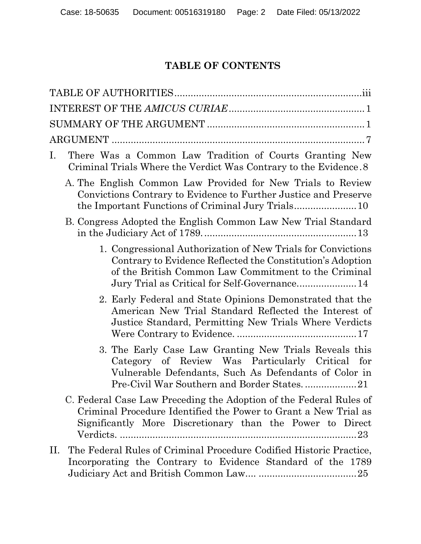# **TABLE OF CONTENTS**

| There Was a Common Law Tradition of Courts Granting New<br>Ι.<br>Criminal Trials Where the Verdict Was Contrary to the Evidence. 8                                                                                |
|-------------------------------------------------------------------------------------------------------------------------------------------------------------------------------------------------------------------|
| A. The English Common Law Provided for New Trials to Review<br>Convictions Contrary to Evidence to Further Justice and Preserve                                                                                   |
| B. Congress Adopted the English Common Law New Trial Standard                                                                                                                                                     |
| 1. Congressional Authorization of New Trials for Convictions<br>Contrary to Evidence Reflected the Constitution's Adoption<br>of the British Common Law Commitment to the Criminal                                |
| 2. Early Federal and State Opinions Demonstrated that the<br>American New Trial Standard Reflected the Interest of<br>Justice Standard, Permitting New Trials Where Verdicts                                      |
| 3. The Early Case Law Granting New Trials Reveals this<br>Category of Review Was Particularly Critical for<br>Vulnerable Defendants, Such As Defendants of Color in<br>Pre-Civil War Southern and Border States21 |
| C. Federal Case Law Preceding the Adoption of the Federal Rules of<br>Criminal Procedure Identified the Power to Grant a New Trial as<br>Significantly More Discretionary than the Power to Direct                |
| The Federal Rules of Criminal Procedure Codified Historic Practice,<br>П.<br>Incorporating the Contrary to Evidence Standard of the 1789                                                                          |

Judiciary Act and British Common Law.... ....................................25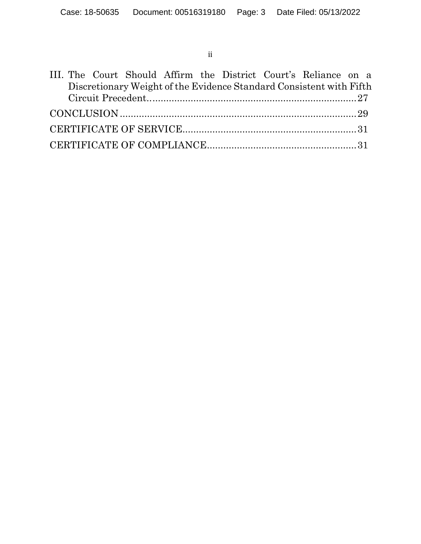ii

|  |  |  |  | III. The Court Should Affirm the District Court's Reliance on a     |  |
|--|--|--|--|---------------------------------------------------------------------|--|
|  |  |  |  | Discretionary Weight of the Evidence Standard Consistent with Fifth |  |
|  |  |  |  |                                                                     |  |
|  |  |  |  |                                                                     |  |
|  |  |  |  |                                                                     |  |
|  |  |  |  |                                                                     |  |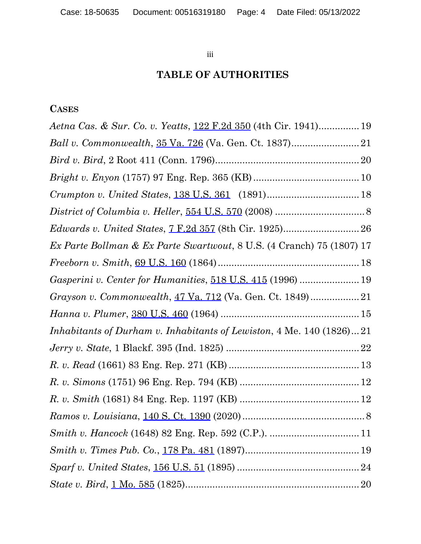iii

# **TABLE OF AUTHORITIES**

## **CASES**

| Aetna Cas. & Sur. Co. v. Yeatts, 122 F.2d 350 (4th Cir. 1941) 19      |
|-----------------------------------------------------------------------|
|                                                                       |
|                                                                       |
|                                                                       |
|                                                                       |
|                                                                       |
|                                                                       |
| Ex Parte Bollman & Ex Parte Swartwout, 8 U.S. (4 Cranch) 75 (1807) 17 |
|                                                                       |
| Gasperini v. Center for Humanities, 518 U.S. 415 (1996)  19           |
|                                                                       |
|                                                                       |
| Inhabitants of Durham v. Inhabitants of Lewiston, 4 Me. 140 (1826)21  |
|                                                                       |
|                                                                       |
|                                                                       |
|                                                                       |
|                                                                       |
|                                                                       |
|                                                                       |
|                                                                       |
|                                                                       |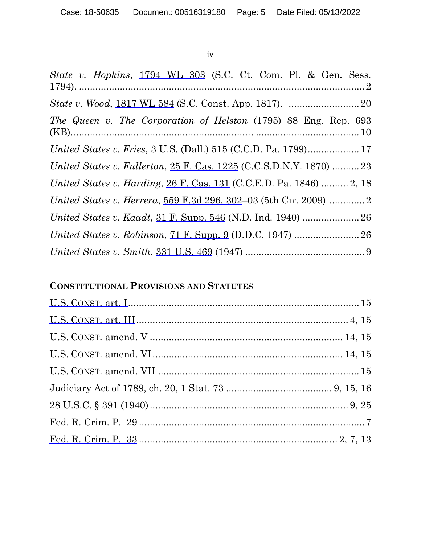#### iv

| State v. Hopkins, 1794 WL 303 (S.C. Ct. Com. Pl. & Gen. Sess.       |
|---------------------------------------------------------------------|
|                                                                     |
| The Queen v. The Corporation of Helston (1795) 88 Eng. Rep. 693     |
|                                                                     |
| United States v. Fullerton, 25 F. Cas. 1225 (C.C.S.D.N.Y. 1870)  23 |
| United States v. Harding, 26 F. Cas. 131 (C.C.E.D. Pa. 1846)  2, 18 |
|                                                                     |
|                                                                     |
|                                                                     |
|                                                                     |

# **CONSTITUTIONAL PROVISIONS AND STATUTES**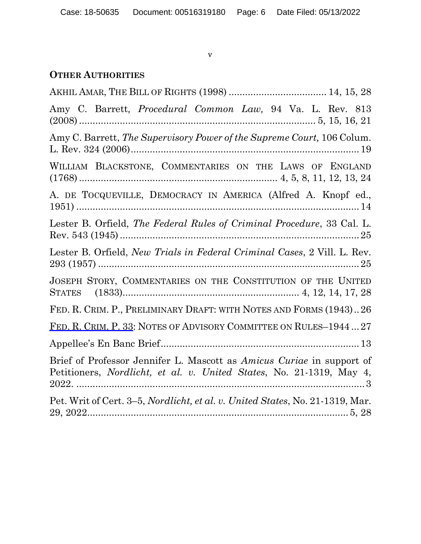v

## **OTHER AUTHORITIES**

| Amy C. Barrett, <i>Procedural Common Law</i> , 94 Va. L. Rev. 813                                                                             |
|-----------------------------------------------------------------------------------------------------------------------------------------------|
| Amy C. Barrett, <i>The Supervisory Power of the Supreme Court</i> , 106 Colum.                                                                |
| WILLIAM BLACKSTONE, COMMENTARIES ON THE LAWS OF ENGLAND                                                                                       |
| A. DE TOCQUEVILLE, DEMOCRACY IN AMERICA (Alfred A. Knopf ed.,                                                                                 |
| Lester B. Orfield, <i>The Federal Rules of Criminal Procedure</i> , 33 Cal. L.                                                                |
| Lester B. Orfield, <i>New Trials in Federal Criminal Cases</i> , 2 Vill. L. Rev.                                                              |
| JOSEPH STORY, COMMENTARIES ON THE CONSTITUTION OF THE UNITED                                                                                  |
| FED. R. CRIM. P., PRELIMINARY DRAFT: WITH NOTES AND FORMS (1943)26                                                                            |
| FED. R. CRIM. P. 33: NOTES OF ADVISORY COMMITTEE ON RULES-194427                                                                              |
|                                                                                                                                               |
| Brief of Professor Jennifer L. Mascott as Amicus Curiae in support of<br>Petitioners, Nordlicht, et al. v. United States, No. 21-1319, May 4, |
| Pet. Writ of Cert. 3–5, Nordlicht, et al. v. United States, No. 21-1319, Mar.                                                                 |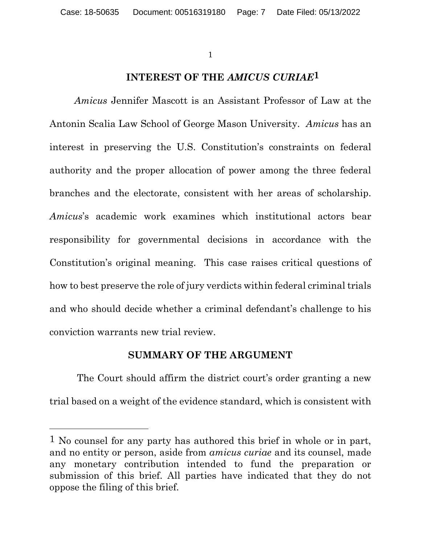### **INTEREST OF THE** *AMICUS CURIAE***1**

*Amicus* Jennifer Mascott is an Assistant Professor of Law at the Antonin Scalia Law School of George Mason University. *Amicus* has an interest in preserving the U.S. Constitution's constraints on federal authority and the proper allocation of power among the three federal branches and the electorate, consistent with her areas of scholarship. *Amicus*'s academic work examines which institutional actors bear responsibility for governmental decisions in accordance with the Constitution's original meaning. This case raises critical questions of how to best preserve the role of jury verdicts within federal criminal trials and who should decide whether a criminal defendant's challenge to his conviction warrants new trial review.

#### **SUMMARY OF THE ARGUMENT**

The Court should affirm the district court's order granting a new trial based on a weight of the evidence standard, which is consistent with

l

<sup>1</sup> No counsel for any party has authored this brief in whole or in part, and no entity or person, aside from *amicus curiae* and its counsel, made any monetary contribution intended to fund the preparation or submission of this brief. All parties have indicated that they do not oppose the filing of this brief.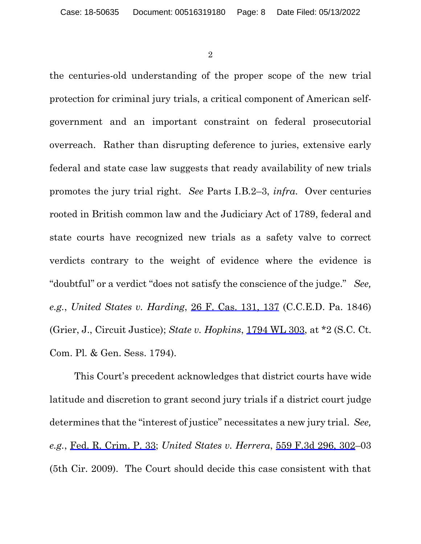the centuries-old understanding of the proper scope of the new trial protection for criminal jury trials, a critical component of American selfgovernment and an important constraint on federal prosecutorial overreach. Rather than disrupting deference to juries, extensive early federal and state case law suggests that ready availability of new trials promotes the jury trial right. *See* Parts I.B.2–3, *infra*. Over centuries rooted in British common law and the Judiciary Act of 1789, federal and state courts have recognized new trials as a safety valve to correct verdicts contrary to the weight of evidence where the evidence is "doubtful" or a verdict "does not satisfy the conscience of the judge." *See, e.g.*, *United States v. Harding*, 26 F. Cas. 131, 137 (C.C.E.D. Pa. 1846) (Grier, J., Circuit Justice); *State v. Hopkins*, 1794 WL 303, at \*2 (S.C. Ct. Com. Pl. & Gen. Sess. 1794).

This Court's precedent acknowledges that district courts have wide latitude and discretion to grant second jury trials if a district court judge determines that the "interest of justice" necessitates a new jury trial. *See, e.g.*, Fed. R. Crim. P. 33; *United States v. Herrera*, 559 F.3d 296, 302–03 (5th Cir. 2009). The Court should decide this case consistent with that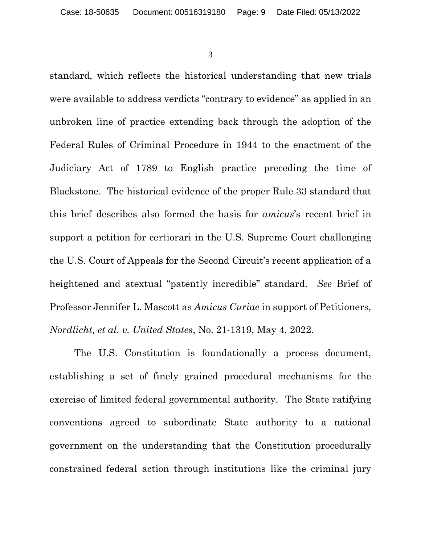standard, which reflects the historical understanding that new trials were available to address verdicts "contrary to evidence" as applied in an unbroken line of practice extending back through the adoption of the Federal Rules of Criminal Procedure in 1944 to the enactment of the Judiciary Act of 1789 to English practice preceding the time of Blackstone. The historical evidence of the proper Rule 33 standard that this brief describes also formed the basis for *amicus*'s recent brief in support a petition for certiorari in the U.S. Supreme Court challenging the U.S. Court of Appeals for the Second Circuit's recent application of a heightened and atextual "patently incredible" standard. *See* Brief of Professor Jennifer L. Mascott as *Amicus Curiae* in support of Petitioners, *Nordlicht, et al. v. United States*, No. 21-1319, May 4, 2022.

The U.S. Constitution is foundationally a process document, establishing a set of finely grained procedural mechanisms for the exercise of limited federal governmental authority. The State ratifying conventions agreed to subordinate State authority to a national government on the understanding that the Constitution procedurally constrained federal action through institutions like the criminal jury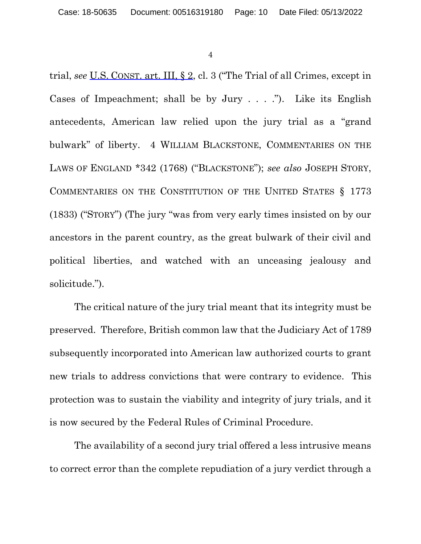trial, *see* U.S. CONST. art. III, § 2, cl. 3 ("The Trial of all Crimes, except in Cases of Impeachment; shall be by Jury  $\dots$ . ..."). Like its English antecedents, American law relied upon the jury trial as a "grand bulwark" of liberty. 4 WILLIAM BLACKSTONE, COMMENTARIES ON THE LAWS OF ENGLAND \*342 (1768) ("BLACKSTONE"); *see also* JOSEPH STORY, COMMENTARIES ON THE CONSTITUTION OF THE UNITED STATES § 1773 (1833) ("STORY") (The jury "was from very early times insisted on by our ancestors in the parent country, as the great bulwark of their civil and political liberties, and watched with an unceasing jealousy and solicitude.").

The critical nature of the jury trial meant that its integrity must be preserved. Therefore, British common law that the Judiciary Act of 1789 subsequently incorporated into American law authorized courts to grant new trials to address convictions that were contrary to evidence. This protection was to sustain the viability and integrity of jury trials, and it is now secured by the Federal Rules of Criminal Procedure.

The availability of a second jury trial offered a less intrusive means to correct error than the complete repudiation of a jury verdict through a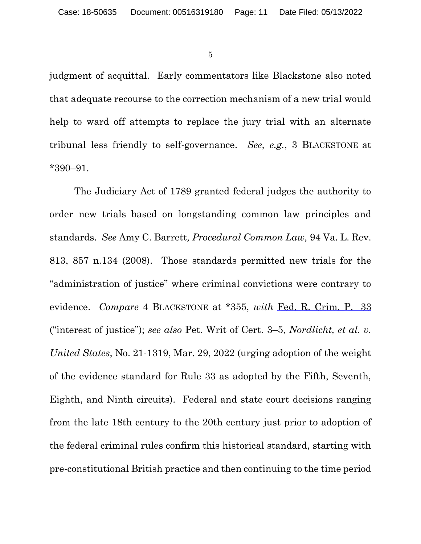judgment of acquittal. Early commentators like Blackstone also noted that adequate recourse to the correction mechanism of a new trial would help to ward off attempts to replace the jury trial with an alternate tribunal less friendly to self-governance. *See, e.g.*, 3 BLACKSTONE at \*390–91.

The Judiciary Act of 1789 granted federal judges the authority to order new trials based on longstanding common law principles and standards. *See* Amy C. Barrett*, Procedural Common Law,* 94 Va. L. Rev. 813, 857 n.134 (2008). Those standards permitted new trials for the "administration of justice" where criminal convictions were contrary to evidence. *Compare* 4 BLACKSTONE at \*355, *with* Fed. R. Crim. P. 33 ("interest of justice"); *see also* Pet. Writ of Cert. 3–5, *Nordlicht, et al. v. United States*, No. 21-1319, Mar. 29, 2022 (urging adoption of the weight of the evidence standard for Rule 33 as adopted by the Fifth, Seventh, Eighth, and Ninth circuits). Federal and state court decisions ranging from the late 18th century to the 20th century just prior to adoption of the federal criminal rules confirm this historical standard, starting with pre-constitutional British practice and then continuing to the time period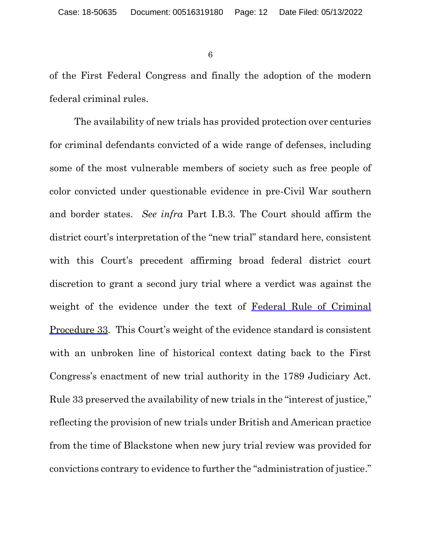of the First Federal Congress and finally the adoption of the modern federal criminal rules.

The availability of new trials has provided protection over centuries for criminal defendants convicted of a wide range of defenses, including some of the most vulnerable members of society such as free people of color convicted under questionable evidence in pre-Civil War southern and border states. *See infra* Part I.B.3. The Court should affirm the district court's interpretation of the "new trial" standard here, consistent with this Court's precedent affirming broad federal district court discretion to grant a second jury trial where a verdict was against the weight of the evidence under the text of Federal Rule of Criminal Procedure 33. This Court's weight of the evidence standard is consistent with an unbroken line of historical context dating back to the First Congress's enactment of new trial authority in the 1789 Judiciary Act. Rule 33 preserved the availability of new trials in the "interest of justice," reflecting the provision of new trials under British and American practice from the time of Blackstone when new jury trial review was provided for convictions contrary to evidence to further the "administration of justice."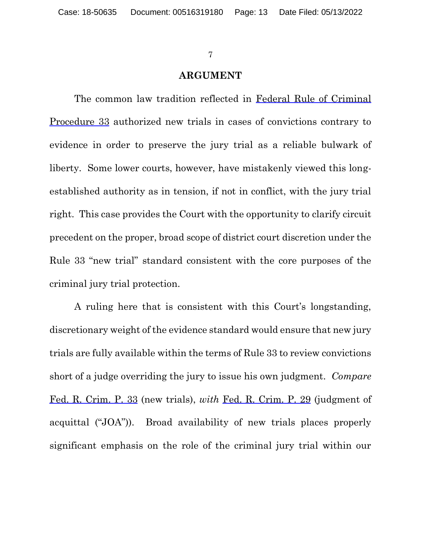#### **ARGUMENT**

The common law tradition reflected in Federal Rule of Criminal Procedure 33 authorized new trials in cases of convictions contrary to evidence in order to preserve the jury trial as a reliable bulwark of liberty. Some lower courts, however, have mistakenly viewed this longestablished authority as in tension, if not in conflict, with the jury trial right. This case provides the Court with the opportunity to clarify circuit precedent on the proper, broad scope of district court discretion under the Rule 33 "new trial" standard consistent with the core purposes of the criminal jury trial protection.

A ruling here that is consistent with this Court's longstanding, discretionary weight of the evidence standard would ensure that new jury trials are fully available within the terms of Rule 33 to review convictions short of a judge overriding the jury to issue his own judgment. *Compare* Fed. R. Crim. P. 33 (new trials), *with* Fed. R. Crim. P. 29 (judgment of acquittal ("JOA")). Broad availability of new trials places properly significant emphasis on the role of the criminal jury trial within our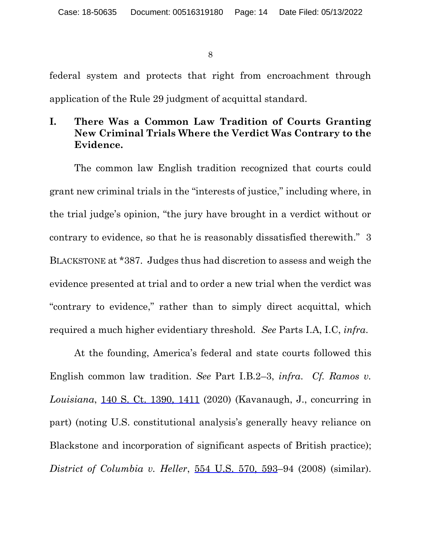federal system and protects that right from encroachment through application of the Rule 29 judgment of acquittal standard.

## **I. There Was a Common Law Tradition of Courts Granting New Criminal Trials Where the Verdict Was Contrary to the Evidence.**

The common law English tradition recognized that courts could grant new criminal trials in the "interests of justice," including where, in the trial judge's opinion, "the jury have brought in a verdict without or contrary to evidence, so that he is reasonably dissatisfied therewith." 3 BLACKSTONE at \*387. Judges thus had discretion to assess and weigh the evidence presented at trial and to order a new trial when the verdict was "contrary to evidence," rather than to simply direct acquittal, which required a much higher evidentiary threshold. *See* Parts I.A, I.C, *infra*.

At the founding, America's federal and state courts followed this English common law tradition. *See* Part I.B.2–3, *infra*. *Cf. Ramos v. Louisiana*, 140 S. Ct. 1390, 1411 (2020) (Kavanaugh, J., concurring in part) (noting U.S. constitutional analysis's generally heavy reliance on Blackstone and incorporation of significant aspects of British practice); *District of Columbia v. Heller*, 554 U.S. 570, 593–94 (2008) (similar).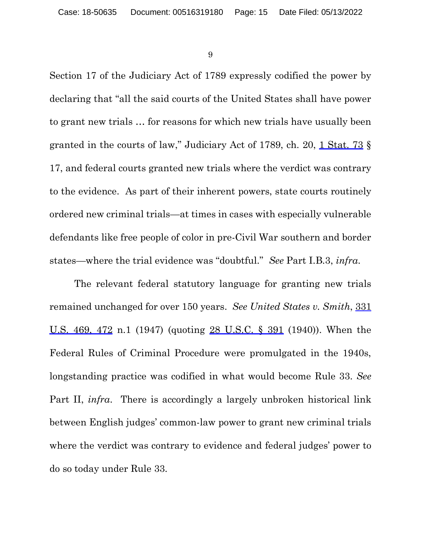Section 17 of the Judiciary Act of 1789 expressly codified the power by declaring that "all the said courts of the United States shall have power to grant new trials … for reasons for which new trials have usually been granted in the courts of law," Judiciary Act of 1789, ch. 20, 1 Stat. 73 § 17, and federal courts granted new trials where the verdict was contrary to the evidence. As part of their inherent powers, state courts routinely ordered new criminal trials—at times in cases with especially vulnerable defendants like free people of color in pre-Civil War southern and border states—where the trial evidence was "doubtful." *See* Part I.B.3, *infra*.

The relevant federal statutory language for granting new trials remained unchanged for over 150 years. *See United States v. Smith*, 331 U.S. 469, 472 n.1 (1947) (quoting 28 U.S.C. § 391 (1940)). When the Federal Rules of Criminal Procedure were promulgated in the 1940s, longstanding practice was codified in what would become Rule 33. *See* Part II, *infra*. There is accordingly a largely unbroken historical link between English judges' common-law power to grant new criminal trials where the verdict was contrary to evidence and federal judges' power to do so today under Rule 33.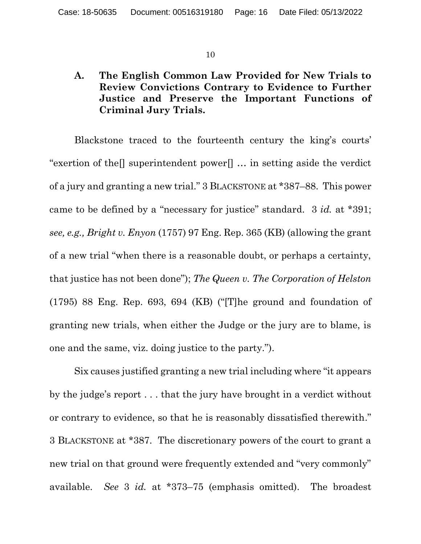## **A. The English Common Law Provided for New Trials to Review Convictions Contrary to Evidence to Further Justice and Preserve the Important Functions of Criminal Jury Trials.**

Blackstone traced to the fourteenth century the king's courts' "exertion of the  $\parallel$  superintendent power $\parallel \ldots$  in setting aside the verdict of a jury and granting a new trial." 3 BLACKSTONE at \*387–88. This power came to be defined by a "necessary for justice" standard. 3 *id.* at \*391; *see, e.g., Bright v. Enyon* (1757) 97 Eng. Rep. 365 (KB) (allowing the grant of a new trial "when there is a reasonable doubt, or perhaps a certainty, that justice has not been done"); *The Queen v. The Corporation of Helston* (1795) 88 Eng. Rep. 693, 694 (KB) ("[T]he ground and foundation of granting new trials, when either the Judge or the jury are to blame, is one and the same, viz. doing justice to the party.").

Six causes justified granting a new trial including where "it appears by the judge's report . . . that the jury have brought in a verdict without or contrary to evidence, so that he is reasonably dissatisfied therewith." 3 BLACKSTONE at \*387. The discretionary powers of the court to grant a new trial on that ground were frequently extended and "very commonly" available. *See* 3 *id.* at \*373–75 (emphasis omitted). The broadest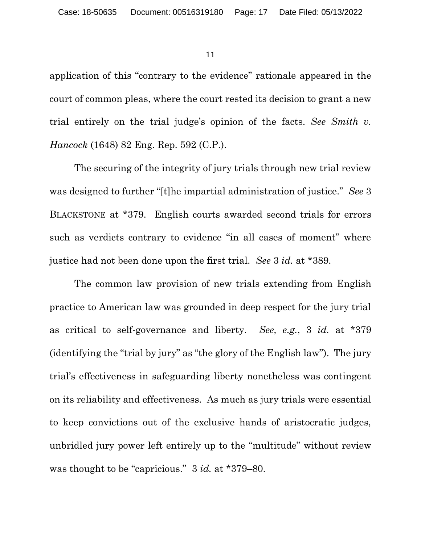application of this "contrary to the evidence" rationale appeared in the court of common pleas, where the court rested its decision to grant a new trial entirely on the trial judge's opinion of the facts. *See Smith v. Hancock* (1648) 82 Eng. Rep. 592 (C.P.).

The securing of the integrity of jury trials through new trial review was designed to further "[t]he impartial administration of justice." *See* 3 BLACKSTONE at \*379.English courts awarded second trials for errors such as verdicts contrary to evidence "in all cases of moment" where justice had not been done upon the first trial. *See* 3 *id.* at \*389.

The common law provision of new trials extending from English practice to American law was grounded in deep respect for the jury trial as critical to self-governance and liberty. *See, e.g.*, 3 *id.* at \*379 (identifying the "trial by jury" as "the glory of the English law"). The jury trial's effectiveness in safeguarding liberty nonetheless was contingent on its reliability and effectiveness. As much as jury trials were essential to keep convictions out of the exclusive hands of aristocratic judges, unbridled jury power left entirely up to the "multitude" without review was thought to be "capricious." 3 *id.* at \*379–80.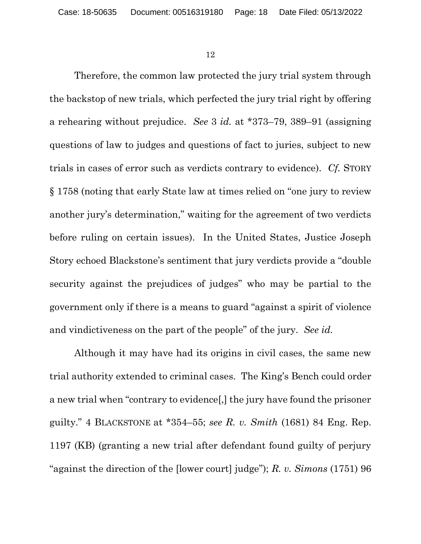Therefore, the common law protected the jury trial system through the backstop of new trials, which perfected the jury trial right by offering a rehearing without prejudice. *See* 3 *id.* at \*373–79, 389–91 (assigning questions of law to judges and questions of fact to juries, subject to new trials in cases of error such as verdicts contrary to evidence). *Cf.* STORY § 1758 (noting that early State law at times relied on "one jury to review another jury's determination," waiting for the agreement of two verdicts before ruling on certain issues). In the United States, Justice Joseph Story echoed Blackstone's sentiment that jury verdicts provide a "double security against the prejudices of judges" who may be partial to the government only if there is a means to guard "against a spirit of violence and vindictiveness on the part of the people" of the jury. *See id.*

Although it may have had its origins in civil cases, the same new trial authority extended to criminal cases. The King's Bench could order a new trial when "contrary to evidence[,] the jury have found the prisoner guilty." 4 BLACKSTONE at \*354–55; *see R. v. Smith* (1681) 84 Eng. Rep. 1197 (KB) (granting a new trial after defendant found guilty of perjury "against the direction of the [lower court] judge"); *R. v. Simons* (1751) 96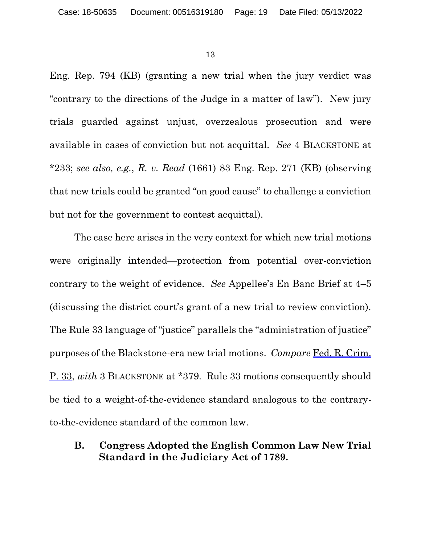Eng. Rep. 794 (KB) (granting a new trial when the jury verdict was "contrary to the directions of the Judge in a matter of law"). New jury trials guarded against unjust, overzealous prosecution and were available in cases of conviction but not acquittal. *See* 4 BLACKSTONE at \*233; *see also, e.g.*, *R. v. Read* (1661) 83 Eng. Rep. 271 (KB) (observing that new trials could be granted "on good cause" to challenge a conviction but not for the government to contest acquittal).

The case here arises in the very context for which new trial motions were originally intended—protection from potential over-conviction contrary to the weight of evidence. *See* Appellee's En Banc Brief at 4–5 (discussing the district court's grant of a new trial to review conviction). The Rule 33 language of "justice" parallels the "administration of justice" purposes of the Blackstone-era new trial motions. *Compare* Fed. R. Crim. P. 33, *with* 3 BLACKSTONE at \*379. Rule 33 motions consequently should be tied to a weight-of-the-evidence standard analogous to the contraryto-the-evidence standard of the common law.

**B. Congress Adopted the English Common Law New Trial Standard in the Judiciary Act of 1789.**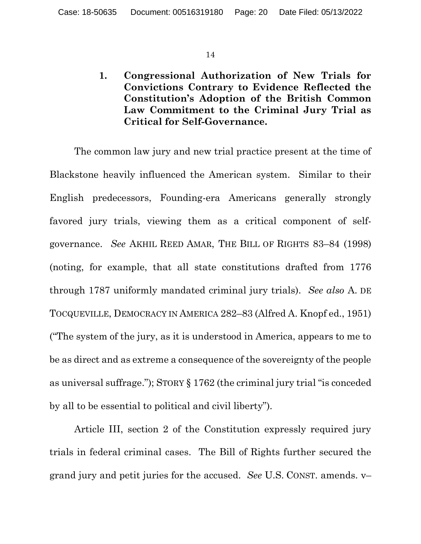**1. Congressional Authorization of New Trials for Convictions Contrary to Evidence Reflected the Constitution's Adoption of the British Common Law Commitment to the Criminal Jury Trial as Critical for Self-Governance.** 

The common law jury and new trial practice present at the time of Blackstone heavily influenced the American system. Similar to their English predecessors, Founding-era Americans generally strongly favored jury trials, viewing them as a critical component of selfgovernance. *See* AKHIL REED AMAR, THE BILL OF RIGHTS 83–84 (1998) (noting, for example, that all state constitutions drafted from 1776 through 1787 uniformly mandated criminal jury trials). *See also* A. DE TOCQUEVILLE, DEMOCRACY IN AMERICA 282–83 (Alfred A. Knopf ed., 1951) ("The system of the jury, as it is understood in America, appears to me to be as direct and as extreme a consequence of the sovereignty of the people as universal suffrage."); STORY § 1762 (the criminal jury trial "is conceded by all to be essential to political and civil liberty").

Article III, section 2 of the Constitution expressly required jury trials in federal criminal cases. The Bill of Rights further secured the grand jury and petit juries for the accused. *See* U.S. CONST. amends. v–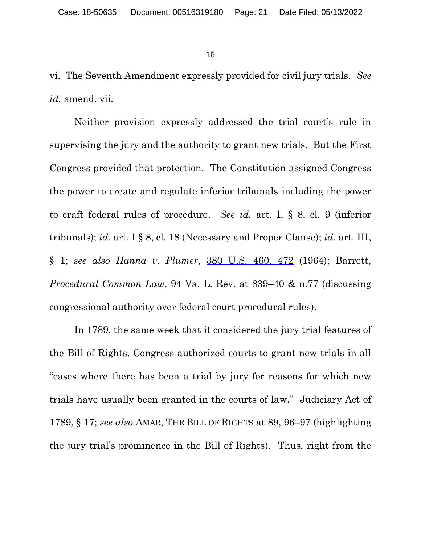vi. The Seventh Amendment expressly provided for civil jury trials. *See id.* amend. vii.

Neither provision expressly addressed the trial court's rule in supervising the jury and the authority to grant new trials. But the First Congress provided that protection. The Constitution assigned Congress the power to create and regulate inferior tribunals including the power to craft federal rules of procedure. *See id.* art. I, § 8, cl. 9 (inferior tribunals); *id.* art. I § 8, cl. 18 (Necessary and Proper Clause); *id.* art. III, § 1; *see also Hanna v. Plumer*, 380 U.S. 460, 472 (1964); Barrett, *Procedural Common Law*, 94 Va. L. Rev. at 839–40 & n.77 (discussing congressional authority over federal court procedural rules).

In 1789, the same week that it considered the jury trial features of the Bill of Rights, Congress authorized courts to grant new trials in all "cases where there has been a trial by jury for reasons for which new trials have usually been granted in the courts of law." Judiciary Act of 1789, § 17; *see also* AMAR, THE BILL OF RIGHTS at 89, 96–97 (highlighting the jury trial's prominence in the Bill of Rights). Thus, right from the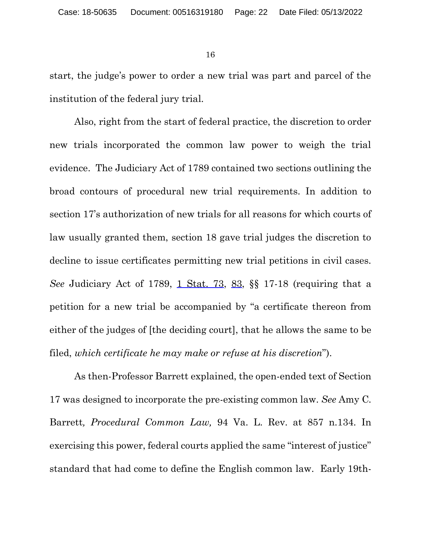start, the judge's power to order a new trial was part and parcel of the institution of the federal jury trial.

Also, right from the start of federal practice, the discretion to order new trials incorporated the common law power to weigh the trial evidence. The Judiciary Act of 1789 contained two sections outlining the broad contours of procedural new trial requirements. In addition to section 17's authorization of new trials for all reasons for which courts of law usually granted them, section 18 gave trial judges the discretion to decline to issue certificates permitting new trial petitions in civil cases. *See* Judiciary Act of 1789, 1 Stat. 73, 83, §§ 17-18 (requiring that a petition for a new trial be accompanied by "a certificate thereon from either of the judges of [the deciding court], that he allows the same to be filed, *which certificate he may make or refuse at his discretion*").

As then-Professor Barrett explained, the open-ended text of Section 17 was designed to incorporate the pre-existing common law. *See* Amy C. Barrett*, Procedural Common Law,* 94 Va. L. Rev. at 857 n.134. In exercising this power, federal courts applied the same "interest of justice" standard that had come to define the English common law. Early 19th-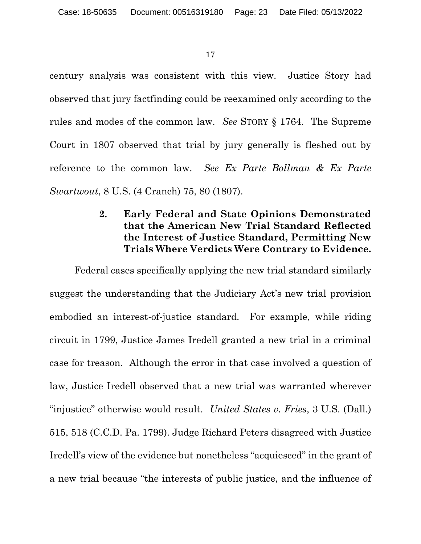century analysis was consistent with this view. Justice Story had observed that jury factfinding could be reexamined only according to the rules and modes of the common law. *See* STORY § 1764. The Supreme Court in 1807 observed that trial by jury generally is fleshed out by reference to the common law. *See Ex Parte Bollman & Ex Parte Swartwout*, 8 U.S. (4 Cranch) 75, 80 (1807).

## **2. Early Federal and State Opinions Demonstrated that the American New Trial Standard Reflected the Interest of Justice Standard, Permitting New Trials Where Verdicts Were Contrary to Evidence.**

Federal cases specifically applying the new trial standard similarly suggest the understanding that the Judiciary Act's new trial provision embodied an interest-of-justice standard. For example, while riding circuit in 1799, Justice James Iredell granted a new trial in a criminal case for treason. Although the error in that case involved a question of law, Justice Iredell observed that a new trial was warranted wherever "injustice" otherwise would result. *United States v. Fries*, 3 U.S. (Dall.) 515, 518 (C.C.D. Pa. 1799). Judge Richard Peters disagreed with Justice Iredell's view of the evidence but nonetheless "acquiesced" in the grant of a new trial because "the interests of public justice, and the influence of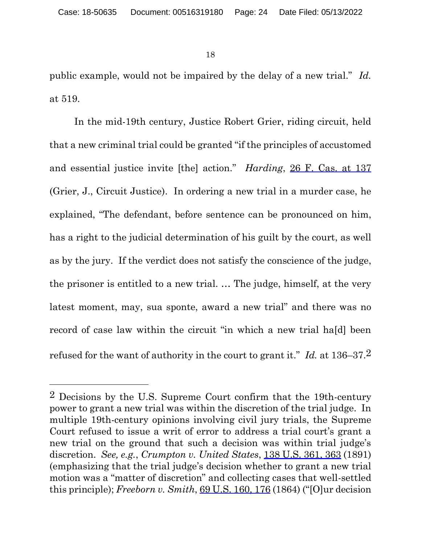$\overline{a}$ 

18

public example, would not be impaired by the delay of a new trial." *Id.* at 519.

In the mid-19th century, Justice Robert Grier, riding circuit, held that a new criminal trial could be granted "if the principles of accustomed and essential justice invite [the] action." *Harding*, 26 F. Cas. at 137 (Grier, J., Circuit Justice). In ordering a new trial in a murder case, he explained, "The defendant, before sentence can be pronounced on him, has a right to the judicial determination of his guilt by the court, as well as by the jury. If the verdict does not satisfy the conscience of the judge, the prisoner is entitled to a new trial. … The judge, himself, at the very latest moment, may, sua sponte, award a new trial" and there was no record of case law within the circuit "in which a new trial ha[d] been refused for the want of authority in the court to grant it." *Id.* at 136–37.2

<sup>2</sup> Decisions by the U.S. Supreme Court confirm that the 19th-century power to grant a new trial was within the discretion of the trial judge. In multiple 19th-century opinions involving civil jury trials, the Supreme Court refused to issue a writ of error to address a trial court's grant a new trial on the ground that such a decision was within trial judge's discretion. *See, e.g.*, *Crumpton v. United States*, 138 U.S. 361, 363 (1891) (emphasizing that the trial judge's decision whether to grant a new trial motion was a "matter of discretion" and collecting cases that well-settled this principle); *Freeborn v. Smith*, 69 U.S. 160, 176 (1864) ("[O]ur decision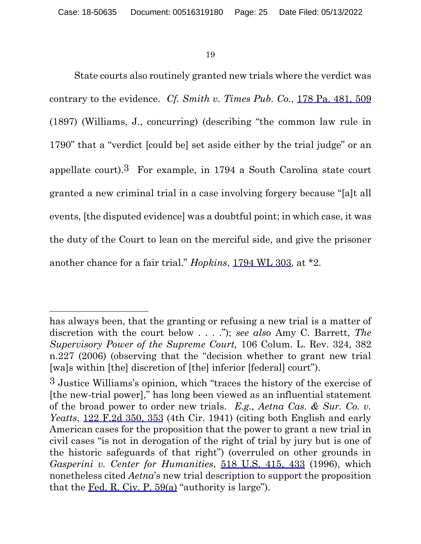$\overline{a}$ 

19

State courts also routinely granted new trials where the verdict was contrary to the evidence. *Cf. Smith v. Times Pub. Co.*, 178 Pa. 481, 509 (1897) (Williams, J., concurring) (describing "the common law rule in 1790" that a "verdict [could be] set aside either by the trial judge" or an appellate court).<sup>3</sup> For example, in 1794 a South Carolina state court granted a new criminal trial in a case involving forgery because "[a]t all events, [the disputed evidence] was a doubtful point; in which case, it was the duty of the Court to lean on the merciful side, and give the prisoner another chance for a fair trial." *Hopkins*, 1794 WL 303, at \*2.

has always been, that the granting or refusing a new trial is a matter of discretion with the court below . . . ."); *see also* Amy C. Barrett, *The Supervisory Power of the Supreme Court,* 106 Colum. L. Rev. 324, 382 n.227 (2006) (observing that the "decision whether to grant new trial [wa]s within [the] discretion of [the] inferior [federal] court").

<sup>3</sup> Justice Williams's opinion, which "traces the history of the exercise of [the new-trial power]," has long been viewed as an influential statement of the broad power to order new trials. *E.g., Aetna Cas. & Sur. Co. v. Yeatts*, 122 F.2d 350, 353 (4th Cir. 1941) (citing both English and early American cases for the proposition that the power to grant a new trial in civil cases "is not in derogation of the right of trial by jury but is one of the historic safeguards of that right") (overruled on other grounds in *Gasperini v. Center for Humanities*, 518 U.S. 415, 433 (1996), which nonetheless cited *Aetna*'s new trial description to support the proposition that the Fed. R. Civ. P.  $59(a)$  "authority is large").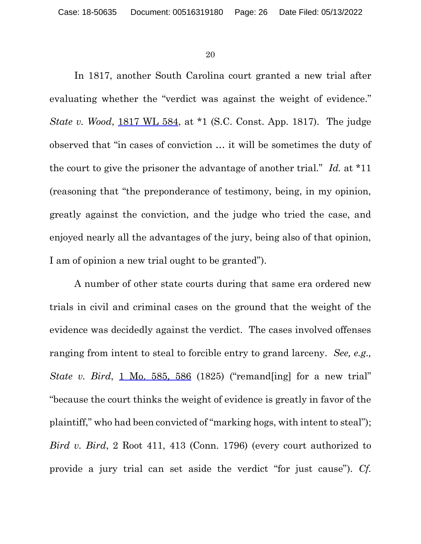In 1817, another South Carolina court granted a new trial after evaluating whether the "verdict was against the weight of evidence." *State v. Wood*, 1817 WL 584, at \*1 (S.C. Const. App. 1817). The judge observed that "in cases of conviction … it will be sometimes the duty of the court to give the prisoner the advantage of another trial." *Id.* at \*11 (reasoning that "the preponderance of testimony, being, in my opinion, greatly against the conviction, and the judge who tried the case, and enjoyed nearly all the advantages of the jury, being also of that opinion, I am of opinion a new trial ought to be granted").

A number of other state courts during that same era ordered new trials in civil and criminal cases on the ground that the weight of the evidence was decidedly against the verdict. The cases involved offenses ranging from intent to steal to forcible entry to grand larceny. *See, e.g., State v. Bird*, 1 Mo. 585, 586 (1825) ("remand[ing] for a new trial" "because the court thinks the weight of evidence is greatly in favor of the plaintiff," who had been convicted of "marking hogs, with intent to steal"); *Bird v. Bird*, 2 Root 411, 413 (Conn. 1796) (every court authorized to provide a jury trial can set aside the verdict "for just cause"). *Cf.*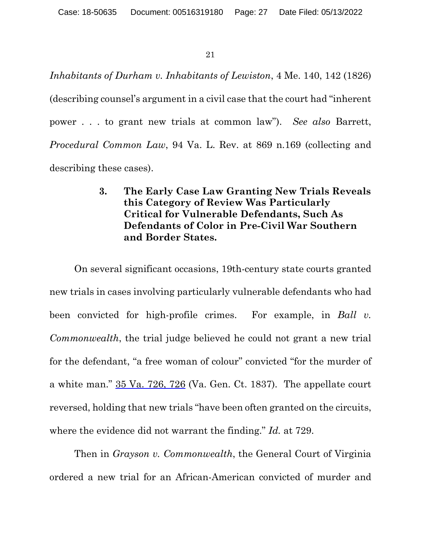*Inhabitants of Durham v. Inhabitants of Lewiston*, 4 Me. 140, 142 (1826) (describing counsel's argument in a civil case that the court had "inherent power . . . to grant new trials at common law"). *See also* Barrett, *Procedural Common Law*, 94 Va. L. Rev. at 869 n.169 (collecting and describing these cases).

## **3. The Early Case Law Granting New Trials Reveals this Category of Review Was Particularly Critical for Vulnerable Defendants, Such As Defendants of Color in Pre-Civil War Southern and Border States.**

On several significant occasions, 19th-century state courts granted new trials in cases involving particularly vulnerable defendants who had been convicted for high-profile crimes. For example, in *Ball v. Commonwealth*, the trial judge believed he could not grant a new trial for the defendant, "a free woman of colour" convicted "for the murder of a white man."  $35 \text{ Va}$ .  $726$ ,  $726$  (Va. Gen. Ct. 1837). The appellate court reversed, holding that new trials "have been often granted on the circuits, where the evidence did not warrant the finding." *Id.* at 729.

Then in *Grayson v. Commonwealth*, the General Court of Virginia ordered a new trial for an African-American convicted of murder and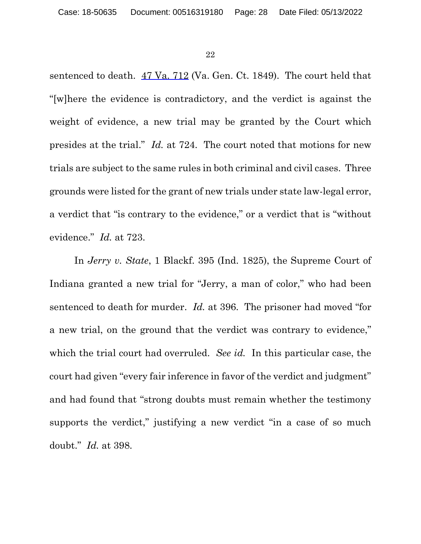sentenced to death. 47 Va. 712 (Va. Gen. Ct. 1849). The court held that "[w]here the evidence is contradictory, and the verdict is against the weight of evidence, a new trial may be granted by the Court which presides at the trial." *Id.* at 724. The court noted that motions for new trials are subject to the same rules in both criminal and civil cases. Three grounds were listed for the grant of new trials under state law-legal error, a verdict that "is contrary to the evidence," or a verdict that is "without evidence." *Id.* at 723.

In *Jerry v. State*, 1 Blackf. 395 (Ind. 1825), the Supreme Court of Indiana granted a new trial for "Jerry, a man of color," who had been sentenced to death for murder. *Id.* at 396. The prisoner had moved "for a new trial, on the ground that the verdict was contrary to evidence," which the trial court had overruled. *See id.* In this particular case, the court had given "every fair inference in favor of the verdict and judgment" and had found that "strong doubts must remain whether the testimony supports the verdict," justifying a new verdict "in a case of so much doubt." *Id.* at 398.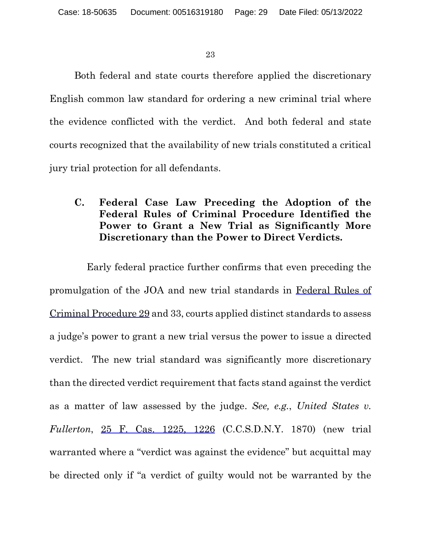Both federal and state courts therefore applied the discretionary English common law standard for ordering a new criminal trial where the evidence conflicted with the verdict. And both federal and state courts recognized that the availability of new trials constituted a critical jury trial protection for all defendants.

## **C. Federal Case Law Preceding the Adoption of the Federal Rules of Criminal Procedure Identified the Power to Grant a New Trial as Significantly More Discretionary than the Power to Direct Verdicts.**

Early federal practice further confirms that even preceding the promulgation of the JOA and new trial standards in Federal Rules of Criminal Procedure 29 and 33, courts applied distinct standards to assess a judge's power to grant a new trial versus the power to issue a directed verdict. The new trial standard was significantly more discretionary than the directed verdict requirement that facts stand against the verdict as a matter of law assessed by the judge. *See, e.g.*, *United States v. Fullerton*, 25 F. Cas. 1225, 1226 (C.C.S.D.N.Y. 1870) (new trial warranted where a "verdict was against the evidence" but acquittal may be directed only if "a verdict of guilty would not be warranted by the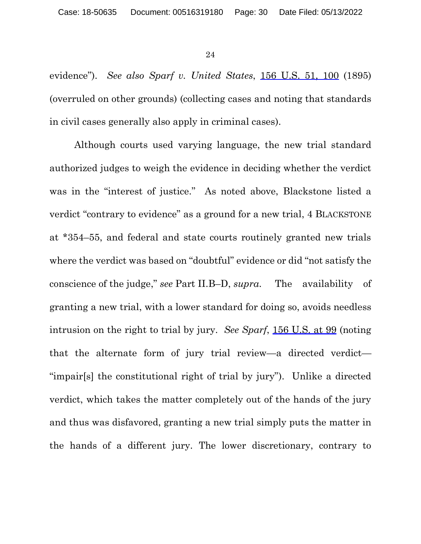evidence"). *See also Sparf v. United States*, 156 U.S. 51, 100 (1895) (overruled on other grounds) (collecting cases and noting that standards in civil cases generally also apply in criminal cases).

Although courts used varying language, the new trial standard authorized judges to weigh the evidence in deciding whether the verdict was in the "interest of justice." As noted above, Blackstone listed a verdict "contrary to evidence" as a ground for a new trial, 4 BLACKSTONE at \*354–55, and federal and state courts routinely granted new trials where the verdict was based on "doubtful" evidence or did "not satisfy the conscience of the judge," *see* Part II.B–D, *supra*. The availability of granting a new trial, with a lower standard for doing so, avoids needless intrusion on the right to trial by jury. *See Sparf*, 156 U.S. at 99 (noting that the alternate form of jury trial review—a directed verdict— "impair[s] the constitutional right of trial by jury"). Unlike a directed verdict, which takes the matter completely out of the hands of the jury and thus was disfavored, granting a new trial simply puts the matter in the hands of a different jury. The lower discretionary, contrary to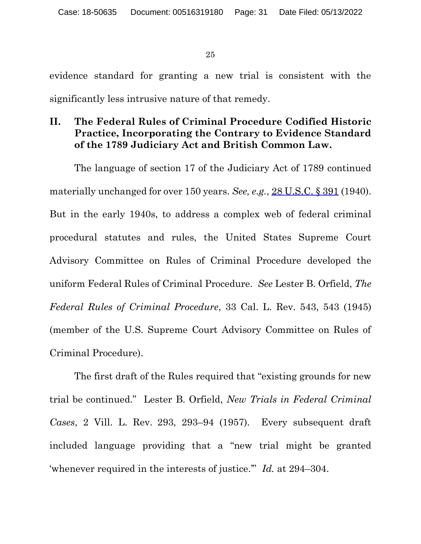evidence standard for granting a new trial is consistent with the significantly less intrusive nature of that remedy.

## **II. The Federal Rules of Criminal Procedure Codified Historic Practice, Incorporating the Contrary to Evidence Standard of the 1789 Judiciary Act and British Common Law.**

The language of section 17 of the Judiciary Act of 1789 continued materially unchanged for over 150 years. *See, e.g.*, 28 U.S.C. § 391 (1940). But in the early 1940s, to address a complex web of federal criminal procedural statutes and rules, the United States Supreme Court Advisory Committee on Rules of Criminal Procedure developed the uniform Federal Rules of Criminal Procedure. *See* Lester B. Orfield, *The Federal Rules of Criminal Procedure*, 33 Cal. L. Rev. 543, 543 (1945) (member of the U.S. Supreme Court Advisory Committee on Rules of Criminal Procedure).

The first draft of the Rules required that "existing grounds for new trial be continued." Lester B. Orfield, *New Trials in Federal Criminal Cases*, 2 Vill. L. Rev. 293, 293–94 (1957). Every subsequent draft included language providing that a "new trial might be granted 'whenever required in the interests of justice.'" *Id.* at 294–304.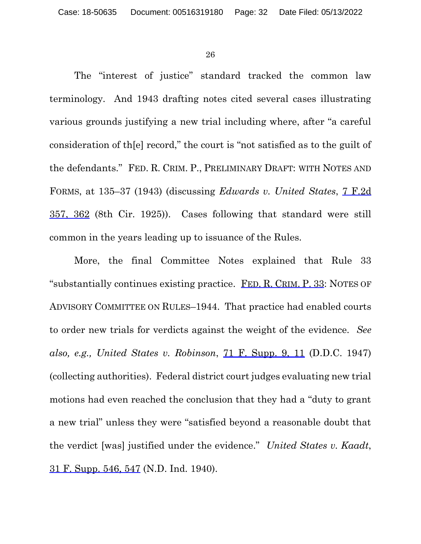The "interest of justice" standard tracked the common law terminology. And 1943 drafting notes cited several cases illustrating various grounds justifying a new trial including where, after "a careful consideration of th[e] record," the court is "not satisfied as to the guilt of the defendants." FED. R. CRIM. P., PRELIMINARY DRAFT: WITH NOTES AND FORMS, at 135–37 (1943) (discussing *Edwards v. United States*, 7 F.2d 357, 362 (8th Cir. 1925)). Cases following that standard were still common in the years leading up to issuance of the Rules.

More, the final Committee Notes explained that Rule 33 "substantially continues existing practice. FED. R. CRIM. P. 33: NOTES OF ADVISORY COMMITTEE ON RULES–1944. That practice had enabled courts to order new trials for verdicts against the weight of the evidence. *See also, e.g., United States v. Robinson*, 71 F. Supp. 9, 11 (D.D.C. 1947) (collecting authorities). Federal district court judges evaluating new trial motions had even reached the conclusion that they had a "duty to grant a new trial" unless they were "satisfied beyond a reasonable doubt that the verdict [was] justified under the evidence." *United States v. Kaadt*, 31 F. Supp. 546, 547 (N.D. Ind. 1940).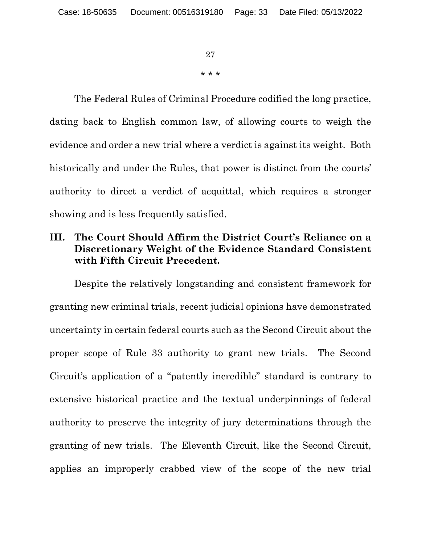27 \* \* \*

The Federal Rules of Criminal Procedure codified the long practice, dating back to English common law, of allowing courts to weigh the evidence and order a new trial where a verdict is against its weight. Both historically and under the Rules, that power is distinct from the courts' authority to direct a verdict of acquittal, which requires a stronger showing and is less frequently satisfied.

## **III. The Court Should Affirm the District Court's Reliance on a Discretionary Weight of the Evidence Standard Consistent with Fifth Circuit Precedent.**

Despite the relatively longstanding and consistent framework for granting new criminal trials, recent judicial opinions have demonstrated uncertainty in certain federal courts such as the Second Circuit about the proper scope of Rule 33 authority to grant new trials. The Second Circuit's application of a "patently incredible" standard is contrary to extensive historical practice and the textual underpinnings of federal authority to preserve the integrity of jury determinations through the granting of new trials. The Eleventh Circuit, like the Second Circuit, applies an improperly crabbed view of the scope of the new trial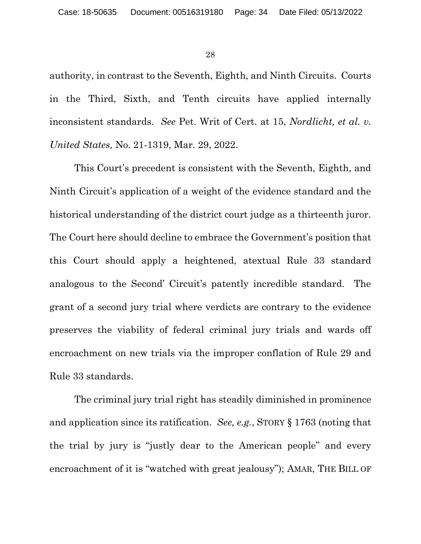authority, in contrast to the Seventh, Eighth, and Ninth Circuits. Courts in the Third, Sixth, and Tenth circuits have applied internally inconsistent standards. *See* Pet. Writ of Cert. at 15, *Nordlicht, et al. v. United States,* No. 21-1319, Mar. 29, 2022.

This Court's precedent is consistent with the Seventh, Eighth, and Ninth Circuit's application of a weight of the evidence standard and the historical understanding of the district court judge as a thirteenth juror. The Court here should decline to embrace the Government's position that this Court should apply a heightened, atextual Rule 33 standard analogous to the Second' Circuit's patently incredible standard. The grant of a second jury trial where verdicts are contrary to the evidence preserves the viability of federal criminal jury trials and wards off encroachment on new trials via the improper conflation of Rule 29 and Rule 33 standards.

The criminal jury trial right has steadily diminished in prominence and application since its ratification. *See, e.g.*, STORY § 1763 (noting that the trial by jury is "justly dear to the American people" and every encroachment of it is "watched with great jealousy"); AMAR, THE BILL OF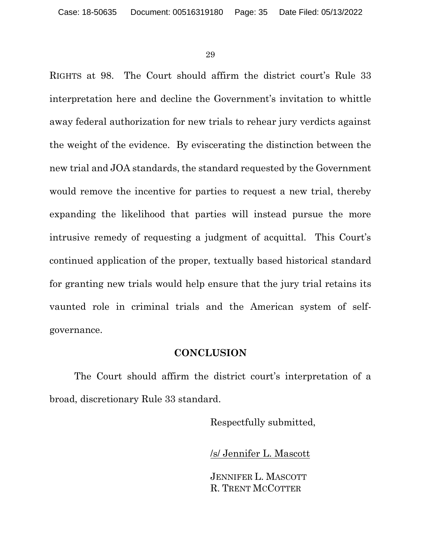RIGHTS at 98. The Court should affirm the district court's Rule 33 interpretation here and decline the Government's invitation to whittle away federal authorization for new trials to rehear jury verdicts against the weight of the evidence. By eviscerating the distinction between the new trial and JOA standards, the standard requested by the Government would remove the incentive for parties to request a new trial, thereby expanding the likelihood that parties will instead pursue the more intrusive remedy of requesting a judgment of acquittal. This Court's continued application of the proper, textually based historical standard for granting new trials would help ensure that the jury trial retains its vaunted role in criminal trials and the American system of selfgovernance.

#### **CONCLUSION**

The Court should affirm the district court's interpretation of a broad, discretionary Rule 33 standard.

Respectfully submitted,

/s/ Jennifer L. Mascott

JENNIFER L. MASCOTT R. TRENT MCCOTTER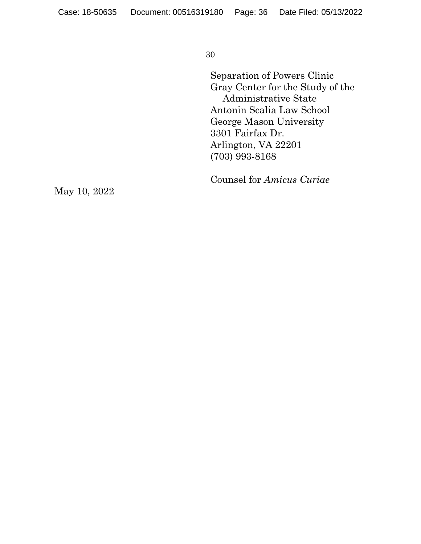Separation of Powers Clinic Gray Center for the Study of the Administrative State Antonin Scalia Law School George Mason University 3301 Fairfax Dr. Arlington, VA 22201 (703) 993-8168

Counsel for *Amicus Curiae*

May 10, 2022